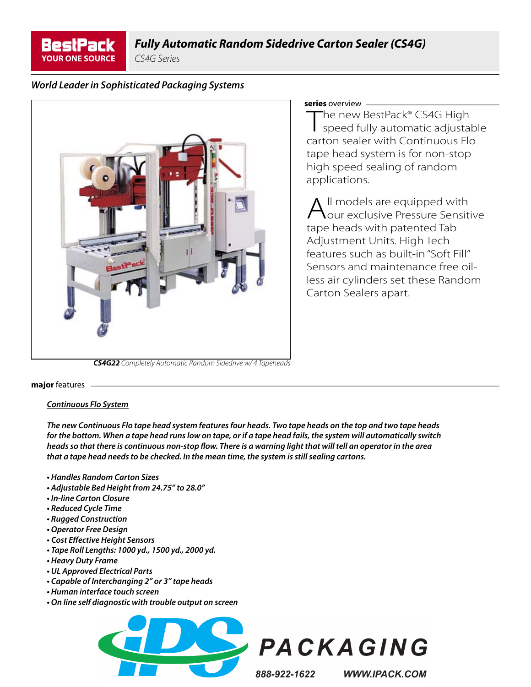

CS4G Series

# *World Leader in Sophisticated Packaging Systems*



#### **series** overview

**The new BestPack® CS4G High<br>The new BestPack® CS4G High<br>speed fully automatic adjustable** carton sealer with Continuous Flo tape head system is for non-stop high speed sealing of random applications.

All models are equipped with<br>
our exclusive Pressure Sensitive tape heads with patented Tab Adjustment Units. High Tech features such as built-in "Soft Fill" Sensors and maintenance free oilless air cylinders set these Random Carton Sealers apart.

**major** features

#### *Continuous Flo System*

*The new Continuous Flo tape head system features four heads. Two tape heads on the top and two tape heads for the bottom. When a tape head runs low on tape, or if a tape head fails, the system will automatically switch heads so that there is continuous non-stop fl ow. There is a warning light that will tell an operator in the area that a tape head needs to be checked. In the mean time, the system is still sealing cartons.* 

- *Handles Random Carton Sizes*
- *Adjustable Bed Height from 24.75" to 28.0"*
- *In-line Carton Closure*
- *Reduced Cycle Time*
- *Rugged Construction*
- *Operator Free Design*
- *Cost Eff ective Height Sensors*
- *Tape Roll Lengths: 1000 yd., 1500 yd., 2000 yd.*
- *Heavy Duty Frame*
- *UL Approved Electrical Parts*
- *Capable of Interchanging 2" or 3" tape heads*
- *Human interface touch screen*
- *On line self diagnostic with trouble output on screen*